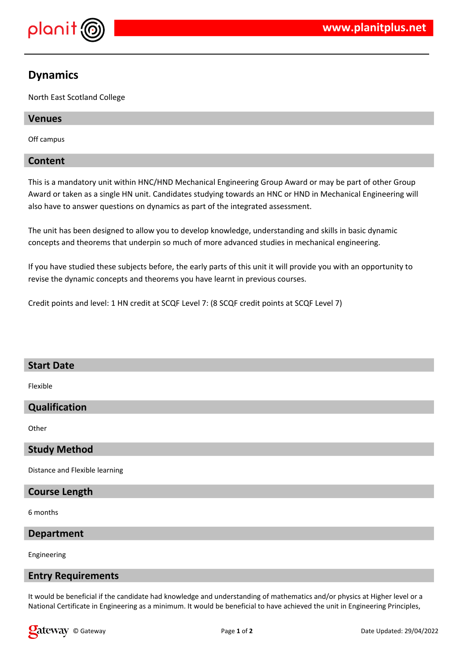

# **Dynamics**

North East Scotland College

# **Venues**

Off campus

## **Content**

This is a mandatory unit within HNC/HND Mechanical Engineering Group Award or may be part of other Group Award or taken as a single HN unit. Candidates studying towards an HNC or HND in Mechanical Engineering will also have to answer questions on dynamics as part of the integrated assessment.

The unit has been designed to allow you to develop knowledge, understanding and skills in basic dynamic concepts and theorems that underpin so much of more advanced studies in mechanical engineering.

If you have studied these subjects before, the early parts of this unit it will provide you with an opportunity to revise the dynamic concepts and theorems you have learnt in previous courses.

Credit points and level: 1 HN credit at SCQF Level 7: (8 SCQF credit points at SCQF Level 7)

## **Start Date**

Flexible

# **Qualification**

**Other** 

## **Study Method**

Distance and Flexible learning

## **Course Length**

6 months

#### **Department**

Engineering

#### **Entry Requirements**

It would be beneficial if the candidate had knowledge and understanding of mathematics and/or physics at Higher level or a National Certificate in Engineering as a minimum. It would be beneficial to have achieved the unit in Engineering Principles,